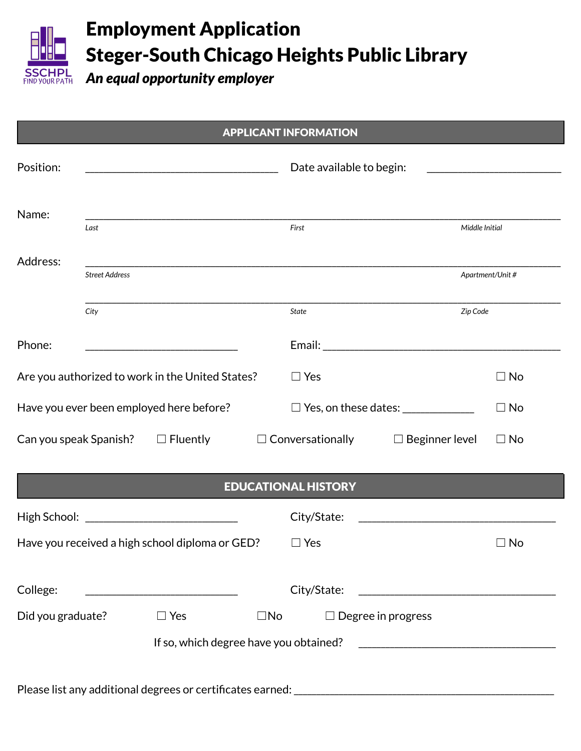

## Employment Application Steger-South Chicago Heights Public Library

*An equal opportunity employer*

| <b>APPLICANT INFORMATION</b>                     |                       |                                                   |               |                                                                                                                                          |                                                                                                                                                                                                                                |                  |  |
|--------------------------------------------------|-----------------------|---------------------------------------------------|---------------|------------------------------------------------------------------------------------------------------------------------------------------|--------------------------------------------------------------------------------------------------------------------------------------------------------------------------------------------------------------------------------|------------------|--|
| Position:                                        |                       |                                                   |               | Date available to begin:<br><u> 1980 - Jan Stein Harry Harry Harry Harry Harry Harry Harry Harry Harry Harry Harry Harry Harry Harry</u> |                                                                                                                                                                                                                                |                  |  |
| Name:                                            | Last                  |                                                   |               | First                                                                                                                                    | Middle Initial                                                                                                                                                                                                                 |                  |  |
| Address:                                         |                       |                                                   |               |                                                                                                                                          |                                                                                                                                                                                                                                |                  |  |
|                                                  | <b>Street Address</b> |                                                   |               |                                                                                                                                          |                                                                                                                                                                                                                                | Apartment/Unit # |  |
|                                                  | City                  |                                                   |               | State                                                                                                                                    | Zip Code                                                                                                                                                                                                                       |                  |  |
| Phone:                                           |                       |                                                   |               |                                                                                                                                          | Email: Email: All and the state of the state of the state of the state of the state of the state of the state of the state of the state of the state of the state of the state of the state of the state of the state of the s |                  |  |
| Are you authorized to work in the United States? |                       |                                                   |               | $\Box$ Yes                                                                                                                               |                                                                                                                                                                                                                                | $\Box$ No        |  |
| Have you ever been employed here before?         |                       |                                                   |               |                                                                                                                                          | $\Box$ Yes, on these dates: $\Box$                                                                                                                                                                                             | $\Box$ No        |  |
|                                                  |                       |                                                   |               |                                                                                                                                          | Can you speak Spanish? $\square$ Fluently $\square$ Conversationally $\square$ Beginner level                                                                                                                                  | $\Box$ No        |  |
|                                                  |                       |                                                   |               | <b>EDUCATIONAL HISTORY</b>                                                                                                               |                                                                                                                                                                                                                                |                  |  |
|                                                  |                       | High School: ________________________________     |               | City/State:                                                                                                                              | <u> 1989 - Johann Harry Harry Harry Harry Harry Harry Harry Harry Harry Harry Harry Harry Harry Harry Harry Harry</u>                                                                                                          |                  |  |
| Have you received a high school diploma or GED?  |                       |                                                   | $\square$ Yes |                                                                                                                                          | $\sqsupset$ No                                                                                                                                                                                                                 |                  |  |
| College:                                         |                       | <u> 1989 - Johann Barbara, martxa alemaniar a</u> |               | City/State:                                                                                                                              |                                                                                                                                                                                                                                |                  |  |
| Did you graduate?                                |                       | $\Box$ Yes                                        | $\square$ No  |                                                                                                                                          | $\Box$ Degree in progress                                                                                                                                                                                                      |                  |  |
|                                                  |                       | If so, which degree have you obtained?            |               |                                                                                                                                          |                                                                                                                                                                                                                                |                  |  |
|                                                  |                       |                                                   |               |                                                                                                                                          |                                                                                                                                                                                                                                |                  |  |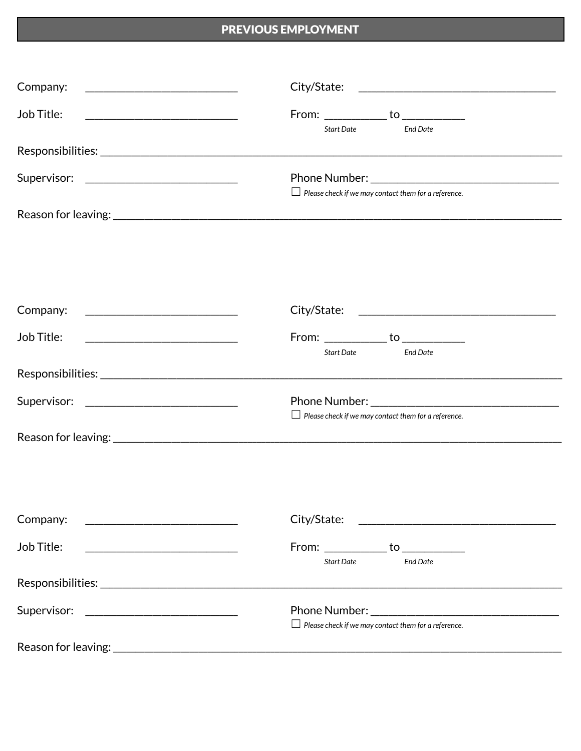## PREVIOUS EMPLOYMENT

| Company:<br><u> 1989 - Johann Barn, mars eta bainar eta bainar eta baina eta baina eta baina eta baina eta baina eta baina e</u>    |                                                                                                                                                                                                                                                                                                    |
|-------------------------------------------------------------------------------------------------------------------------------------|----------------------------------------------------------------------------------------------------------------------------------------------------------------------------------------------------------------------------------------------------------------------------------------------------|
| Job Title:<br><u> 1989 - Johann Harry Harry Harry Harry Harry Harry Harry Harry Harry Harry Harry Harry Harry Harry Harry Harry</u> | $From: ____________ to ____________$<br><b>Start Date</b><br><b>Fnd Date</b>                                                                                                                                                                                                                       |
|                                                                                                                                     |                                                                                                                                                                                                                                                                                                    |
|                                                                                                                                     | <b>Phone Number:</b> The Contract of the Contract of the Contract of the Contract of the Contract of the Contract of the Contract of the Contract of the Contract of the Contract of the Contract of the Contract of the Contract o<br>$\Box$ Please check if we may contact them for a reference. |
|                                                                                                                                     |                                                                                                                                                                                                                                                                                                    |
|                                                                                                                                     |                                                                                                                                                                                                                                                                                                    |
| Company:<br><u> 2000 - Jan James James Barnett, martin eta idazlea (</u>                                                            |                                                                                                                                                                                                                                                                                                    |
| Job Title:                                                                                                                          | $From: \underline{\hspace{1cm}} \underline{\hspace{1cm}}$ to $\underline{\hspace{1cm}}$<br>Start Date<br><b>End Date</b>                                                                                                                                                                           |
|                                                                                                                                     |                                                                                                                                                                                                                                                                                                    |
|                                                                                                                                     | $\Box$ Please check if we may contact them for a reference.                                                                                                                                                                                                                                        |
|                                                                                                                                     |                                                                                                                                                                                                                                                                                                    |
|                                                                                                                                     |                                                                                                                                                                                                                                                                                                    |
| Company:<br><u> 1980 - Johann Barn, mars and de Brasil</u>                                                                          |                                                                                                                                                                                                                                                                                                    |
| Job Title:                                                                                                                          | From: _____________ to _____________<br><b>End Date</b><br>Start Date                                                                                                                                                                                                                              |
|                                                                                                                                     |                                                                                                                                                                                                                                                                                                    |
| Supervisor:                                                                                                                         | $\Box$ Please check if we may contact them for a reference.                                                                                                                                                                                                                                        |
|                                                                                                                                     |                                                                                                                                                                                                                                                                                                    |